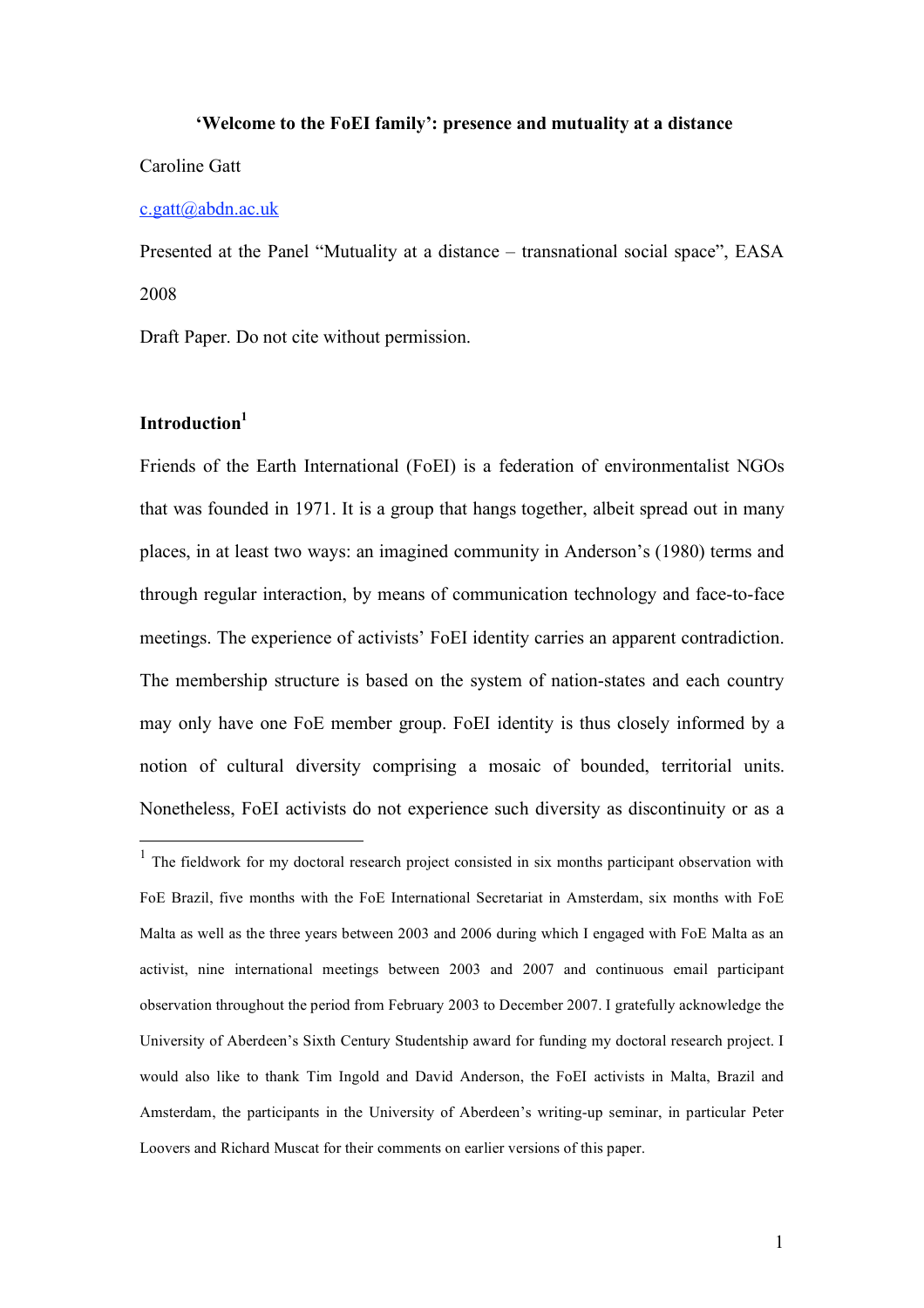#### **'Welcome to the FoEI family': presence and mutuality at a distance**

## Caroline Gatt

#### c.gatt@abdn.ac.uk

Presented at the Panel "Mutuality at a distance – transnational social space", EASA 2008

Draft Paper. Do not cite without permission.

# **Introduction1**

Friends of the Earth International (FoEI) is a federation of environmentalist NGOs that was founded in 1971. It is a group that hangs together, albeit spread out in many places, in at least two ways: an imagined community in Anderson's (1980) terms and through regular interaction, by means of communication technology and face-to-face meetings. The experience of activists' FoEI identity carries an apparent contradiction. The membership structure is based on the system of nation-states and each country may only have one FoE member group. FoEI identity is thus closely informed by a notion of cultural diversity comprising a mosaic of bounded, territorial units. Nonetheless, FoEI activists do not experience such diversity as discontinuity or as a

 $1$  The fieldwork for my doctoral research project consisted in six months participant observation with FoE Brazil, five months with the FoE International Secretariat in Amsterdam, six months with FoE Malta as well as the three years between 2003 and 2006 during which I engaged with FoE Malta as an activist, nine international meetings between 2003 and 2007 and continuous email participant observation throughout the period from February 2003 to December 2007. I gratefully acknowledge the University of Aberdeen's Sixth Century Studentship award for funding my doctoral research project. I would also like to thank Tim Ingold and David Anderson, the FoEI activists in Malta, Brazil and Amsterdam, the participants in the University of Aberdeen's writing-up seminar, in particular Peter Loovers and Richard Muscat for their comments on earlier versions of this paper.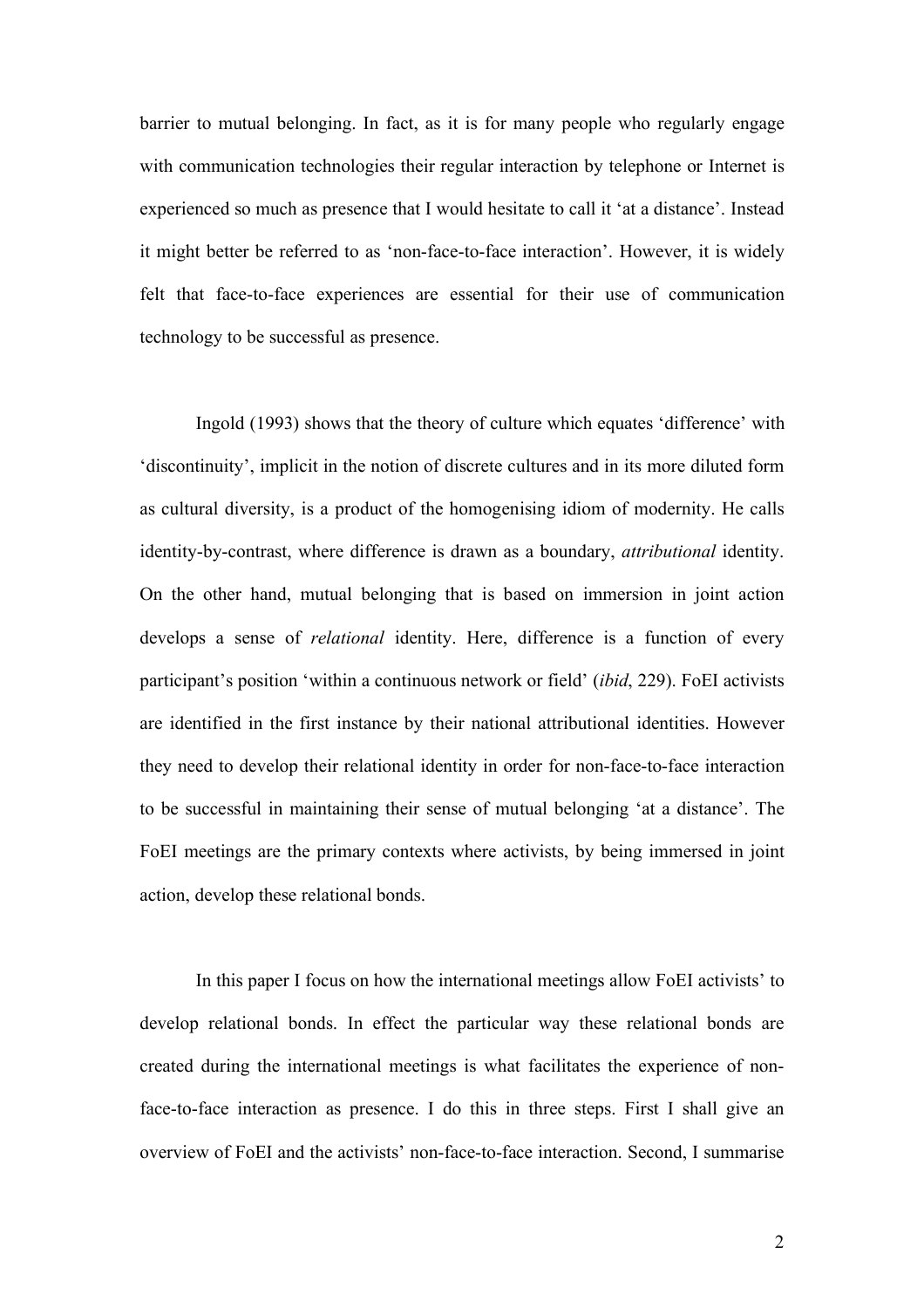barrier to mutual belonging. In fact, as it is for many people who regularly engage with communication technologies their regular interaction by telephone or Internet is experienced so much as presence that I would hesitate to call it 'at a distance'. Instead it might better be referred to as 'non-face-to-face interaction'. However, it is widely felt that face-to-face experiences are essential for their use of communication technology to be successful as presence.

Ingold (1993) shows that the theory of culture which equates 'difference' with 'discontinuity', implicit in the notion of discrete cultures and in its more diluted form as cultural diversity, is a product of the homogenising idiom of modernity. He calls identity-by-contrast, where difference is drawn as a boundary, *attributional* identity. On the other hand, mutual belonging that is based on immersion in joint action develops a sense of *relational* identity. Here, difference is a function of every participant's position 'within a continuous network or field' (*ibid*, 229). FoEI activists are identified in the first instance by their national attributional identities. However they need to develop their relational identity in order for non-face-to-face interaction to be successful in maintaining their sense of mutual belonging 'at a distance'. The FoEI meetings are the primary contexts where activists, by being immersed in joint action, develop these relational bonds.

In this paper I focus on how the international meetings allow FoEI activists' to develop relational bonds. In effect the particular way these relational bonds are created during the international meetings is what facilitates the experience of nonface-to-face interaction as presence. I do this in three steps. First I shall give an overview of FoEI and the activists' non-face-to-face interaction. Second, I summarise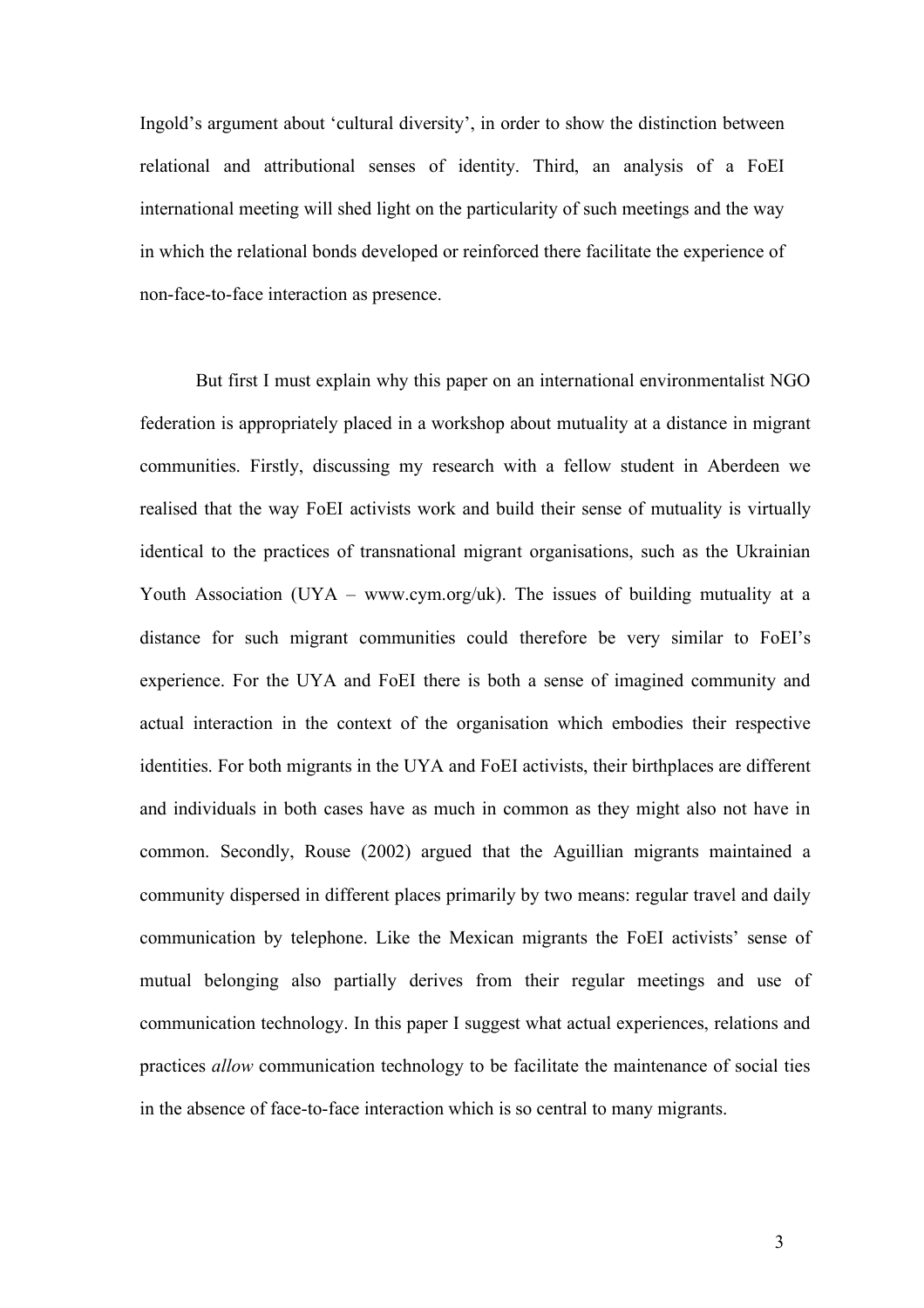Ingold's argument about 'cultural diversity', in order to show the distinction between relational and attributional senses of identity. Third, an analysis of a FoEI international meeting will shed light on the particularity of such meetings and the way in which the relational bonds developed or reinforced there facilitate the experience of non-face-to-face interaction as presence.

But first I must explain why this paper on an international environmentalist NGO federation is appropriately placed in a workshop about mutuality at a distance in migrant communities. Firstly, discussing my research with a fellow student in Aberdeen we realised that the way FoEI activists work and build their sense of mutuality is virtually identical to the practices of transnational migrant organisations, such as the Ukrainian Youth Association (UYA – www.cym.org/uk). The issues of building mutuality at a distance for such migrant communities could therefore be very similar to FoEI's experience. For the UYA and FoEI there is both a sense of imagined community and actual interaction in the context of the organisation which embodies their respective identities. For both migrants in the UYA and FoEI activists, their birthplaces are different and individuals in both cases have as much in common as they might also not have in common. Secondly, Rouse (2002) argued that the Aguillian migrants maintained a community dispersed in different places primarily by two means: regular travel and daily communication by telephone. Like the Mexican migrants the FoEI activists' sense of mutual belonging also partially derives from their regular meetings and use of communication technology. In this paper I suggest what actual experiences, relations and practices *allow* communication technology to be facilitate the maintenance of social ties in the absence of face-to-face interaction which is so central to many migrants.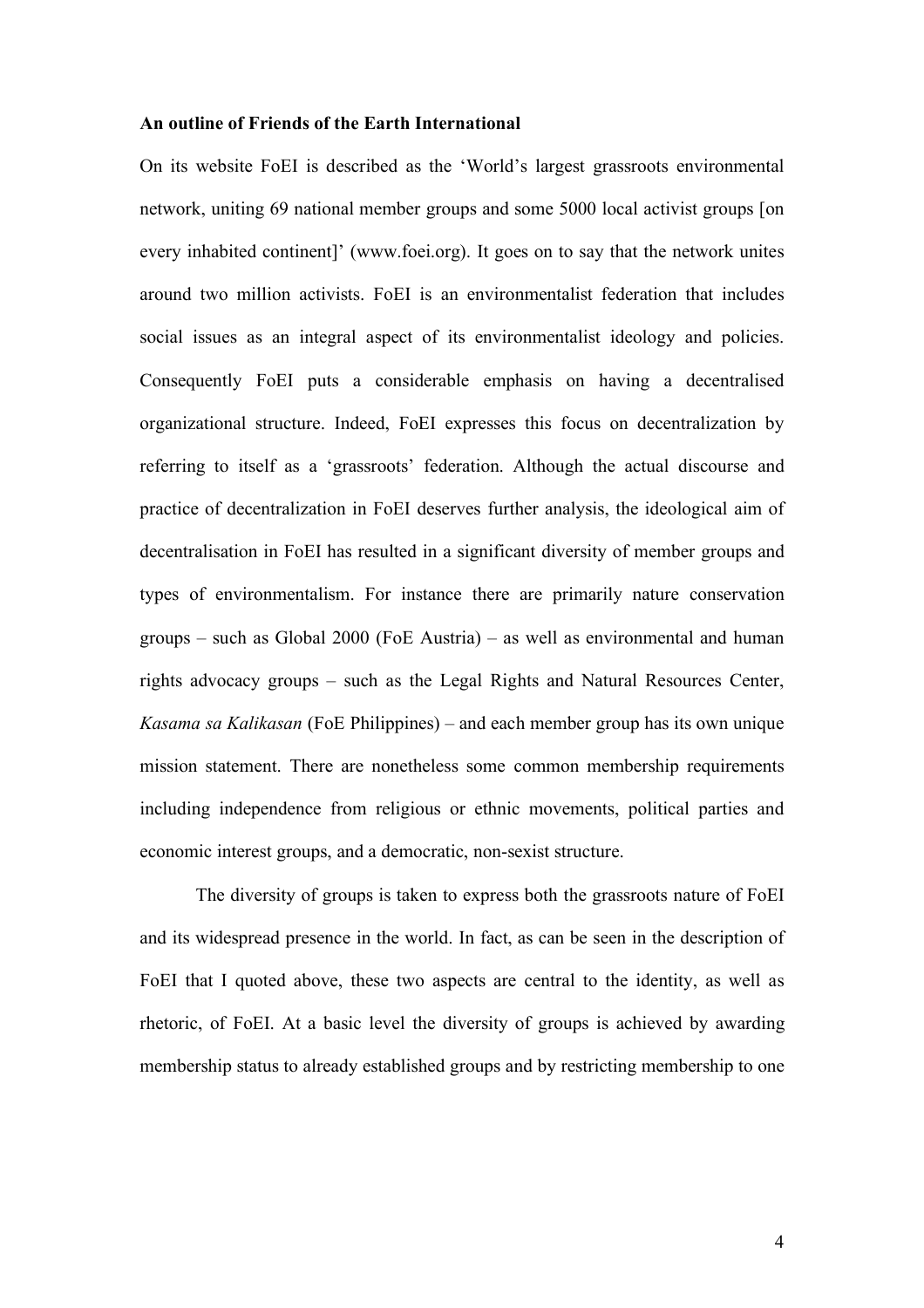#### **An outline of Friends of the Earth International**

On its website FoEI is described as the 'World's largest grassroots environmental network, uniting 69 national member groups and some 5000 local activist groups [on every inhabited continent]' (www.foei.org). It goes on to say that the network unites around two million activists. FoEI is an environmentalist federation that includes social issues as an integral aspect of its environmentalist ideology and policies. Consequently FoEI puts a considerable emphasis on having a decentralised organizational structure. Indeed, FoEI expresses this focus on decentralization by referring to itself as a 'grassroots' federation. Although the actual discourse and practice of decentralization in FoEI deserves further analysis, the ideological aim of decentralisation in FoEI has resulted in a significant diversity of member groups and types of environmentalism. For instance there are primarily nature conservation groups – such as Global 2000 (FoE Austria) – as well as environmental and human rights advocacy groups – such as the Legal Rights and Natural Resources Center, *Kasama sa Kalikasan* (FoE Philippines) – and each member group has its own unique mission statement. There are nonetheless some common membership requirements including independence from religious or ethnic movements, political parties and economic interest groups, and a democratic, non-sexist structure.

The diversity of groups is taken to express both the grassroots nature of FoEI and its widespread presence in the world. In fact, as can be seen in the description of FoEI that I quoted above, these two aspects are central to the identity, as well as rhetoric, of FoEI. At a basic level the diversity of groups is achieved by awarding membership status to already established groups and by restricting membership to one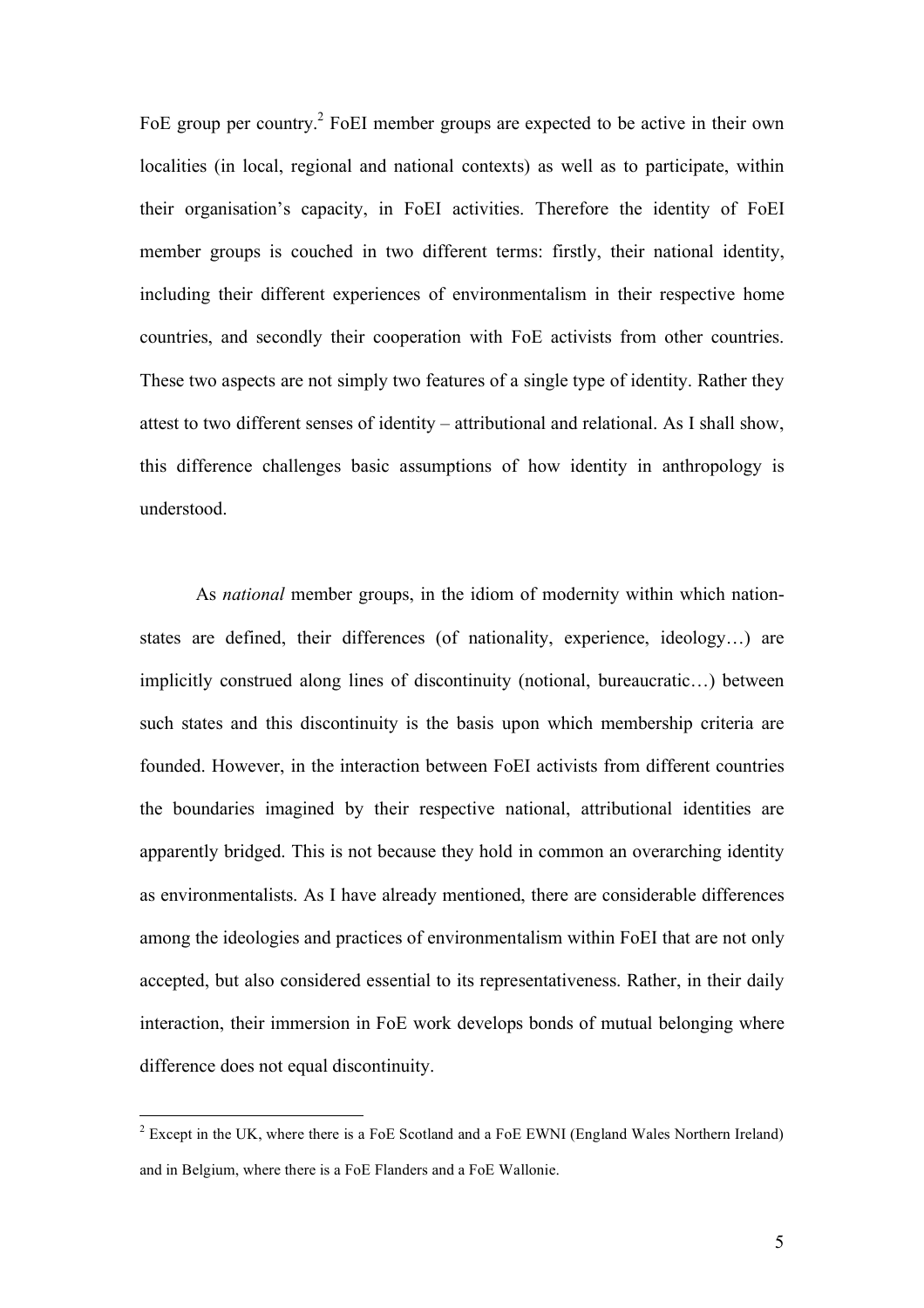FoE group per country.<sup>2</sup> FoEI member groups are expected to be active in their own localities (in local, regional and national contexts) as well as to participate, within their organisation's capacity, in FoEI activities. Therefore the identity of FoEI member groups is couched in two different terms: firstly, their national identity, including their different experiences of environmentalism in their respective home countries, and secondly their cooperation with FoE activists from other countries. These two aspects are not simply two features of a single type of identity. Rather they attest to two different senses of identity – attributional and relational. As I shall show, this difference challenges basic assumptions of how identity in anthropology is understood.

As *national* member groups, in the idiom of modernity within which nationstates are defined, their differences (of nationality, experience, ideology…) are implicitly construed along lines of discontinuity (notional, bureaucratic…) between such states and this discontinuity is the basis upon which membership criteria are founded. However, in the interaction between FoEI activists from different countries the boundaries imagined by their respective national, attributional identities are apparently bridged. This is not because they hold in common an overarching identity as environmentalists. As I have already mentioned, there are considerable differences among the ideologies and practices of environmentalism within FoEI that are not only accepted, but also considered essential to its representativeness. Rather, in their daily interaction, their immersion in FoE work develops bonds of mutual belonging where difference does not equal discontinuity.

<sup>&</sup>lt;sup>2</sup> Except in the UK, where there is a FoE Scotland and a FoE EWNI (England Wales Northern Ireland) and in Belgium, where there is a FoE Flanders and a FoE Wallonie.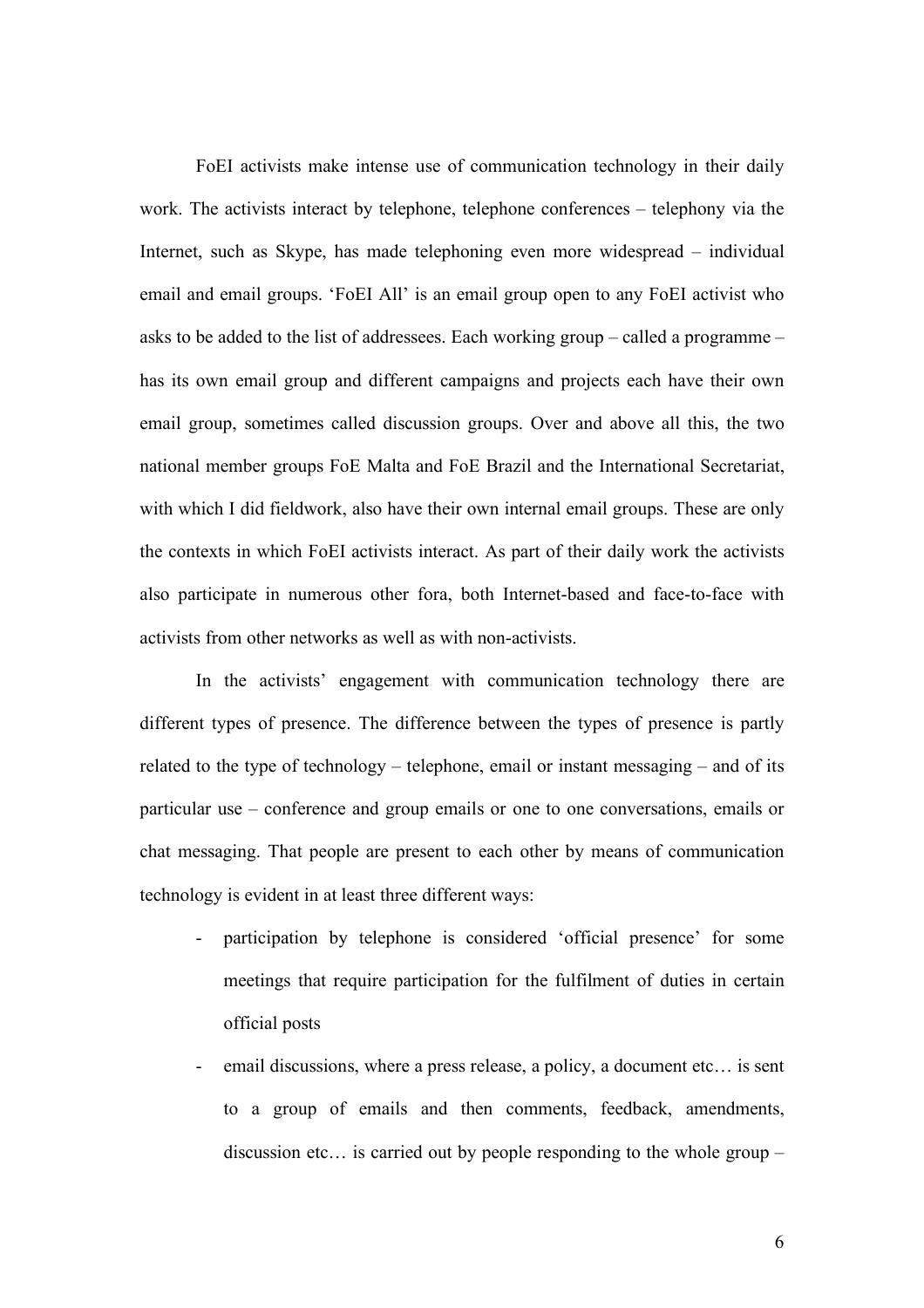FoEI activists make intense use of communication technology in their daily work. The activists interact by telephone, telephone conferences – telephony via the Internet, such as Skype, has made telephoning even more widespread – individual email and email groups. 'FoEI All' is an email group open to any FoEI activist who asks to be added to the list of addressees. Each working group – called a programme – has its own email group and different campaigns and projects each have their own email group, sometimes called discussion groups. Over and above all this, the two national member groups FoE Malta and FoE Brazil and the International Secretariat, with which I did fieldwork, also have their own internal email groups. These are only the contexts in which FoEI activists interact. As part of their daily work the activists also participate in numerous other fora, both Internet-based and face-to-face with activists from other networks as well as with non-activists.

In the activists' engagement with communication technology there are different types of presence. The difference between the types of presence is partly related to the type of technology – telephone, email or instant messaging – and of its particular use – conference and group emails or one to one conversations, emails or chat messaging. That people are present to each other by means of communication technology is evident in at least three different ways:

- participation by telephone is considered 'official presence' for some meetings that require participation for the fulfilment of duties in certain official posts
- email discussions, where a press release, a policy, a document etc... is sent to a group of emails and then comments, feedback, amendments, discussion etc… is carried out by people responding to the whole group –

6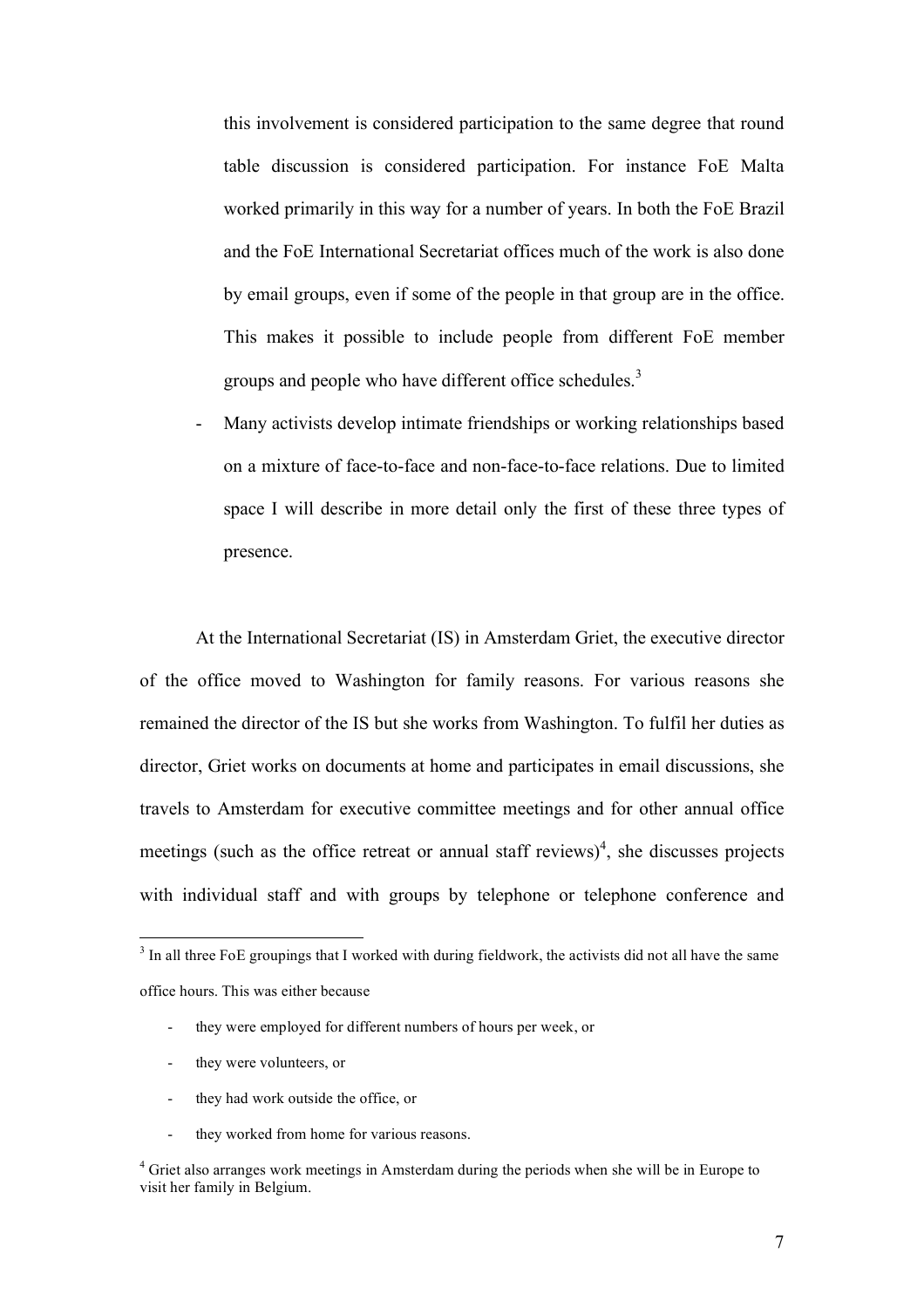this involvement is considered participation to the same degree that round table discussion is considered participation. For instance FoE Malta worked primarily in this way for a number of years. In both the FoE Brazil and the FoE International Secretariat offices much of the work is also done by email groups, even if some of the people in that group are in the office. This makes it possible to include people from different FoE member groups and people who have different office schedules.<sup>3</sup>

Many activists develop intimate friendships or working relationships based on a mixture of face-to-face and non-face-to-face relations. Due to limited space I will describe in more detail only the first of these three types of presence.

At the International Secretariat (IS) in Amsterdam Griet, the executive director of the office moved to Washington for family reasons. For various reasons she remained the director of the IS but she works from Washington. To fulfil her duties as director, Griet works on documents at home and participates in email discussions, she travels to Amsterdam for executive committee meetings and for other annual office meetings (such as the office retreat or annual staff reviews)<sup>4</sup>, she discusses projects with individual staff and with groups by telephone or telephone conference and

- they were employed for different numbers of hours per week, or
- they were volunteers, or
- they had work outside the office, or
- they worked from home for various reasons.

<sup>&</sup>lt;sup>3</sup> In all three FoE groupings that I worked with during fieldwork, the activists did not all have the same office hours. This was either because

<sup>&</sup>lt;sup>4</sup> Griet also arranges work meetings in Amsterdam during the periods when she will be in Europe to visit her family in Belgium.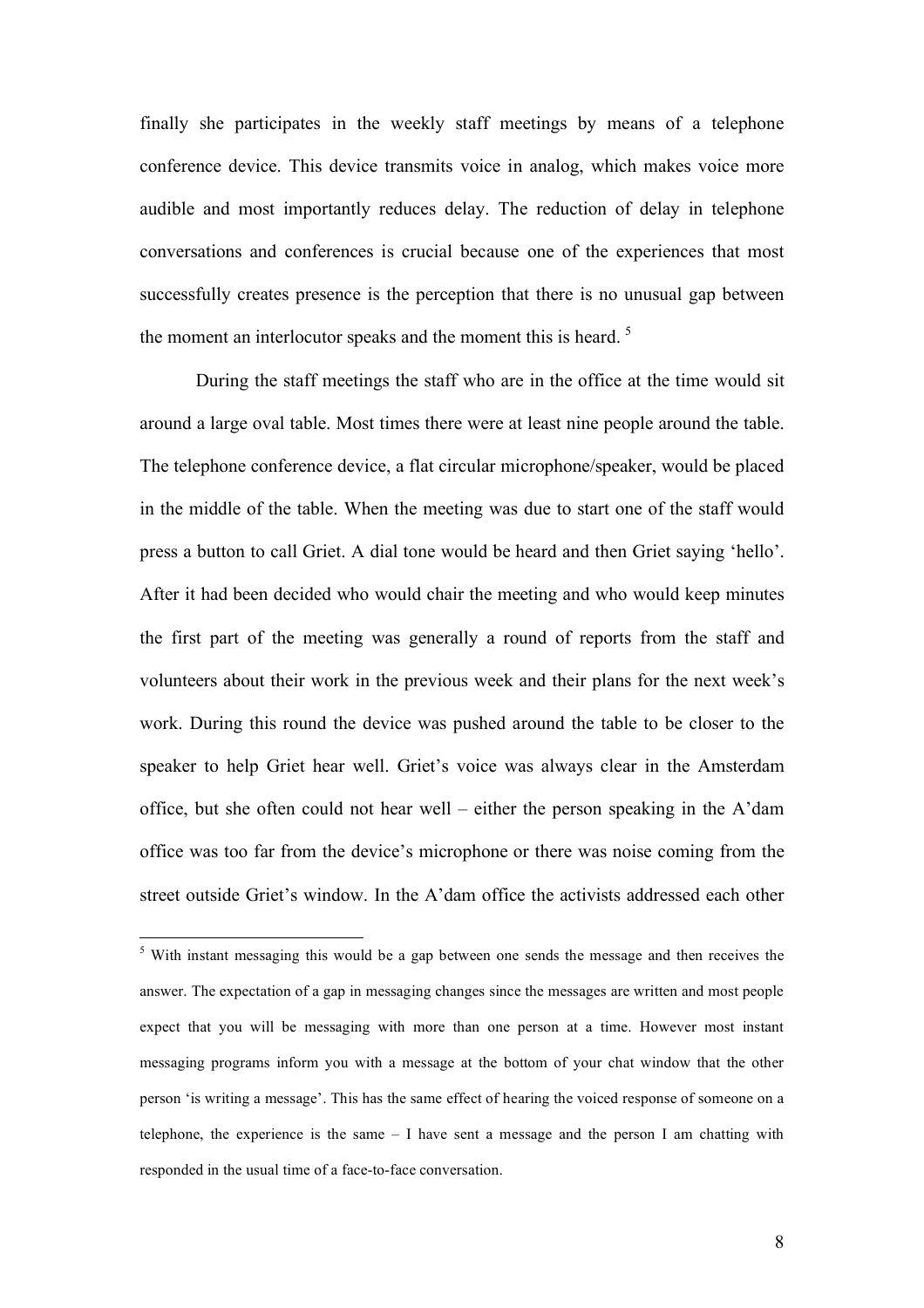finally she participates in the weekly staff meetings by means of a telephone conference device. This device transmits voice in analog, which makes voice more audible and most importantly reduces delay. The reduction of delay in telephone conversations and conferences is crucial because one of the experiences that most successfully creates presence is the perception that there is no unusual gap between the moment an interlocutor speaks and the moment this is heard.<sup>5</sup>

During the staff meetings the staff who are in the office at the time would sit around a large oval table. Most times there were at least nine people around the table. The telephone conference device, a flat circular microphone/speaker, would be placed in the middle of the table. When the meeting was due to start one of the staff would press a button to call Griet. A dial tone would be heard and then Griet saying 'hello'. After it had been decided who would chair the meeting and who would keep minutes the first part of the meeting was generally a round of reports from the staff and volunteers about their work in the previous week and their plans for the next week's work. During this round the device was pushed around the table to be closer to the speaker to help Griet hear well. Griet's voice was always clear in the Amsterdam office, but she often could not hear well – either the person speaking in the A'dam office was too far from the device's microphone or there was noise coming from the street outside Griet's window. In the A'dam office the activists addressed each other

<sup>&</sup>lt;sup>5</sup> With instant messaging this would be a gap between one sends the message and then receives the answer. The expectation of a gap in messaging changes since the messages are written and most people expect that you will be messaging with more than one person at a time. However most instant messaging programs inform you with a message at the bottom of your chat window that the other person 'is writing a message'. This has the same effect of hearing the voiced response of someone on a telephone, the experience is the same – I have sent a message and the person I am chatting with responded in the usual time of a face-to-face conversation.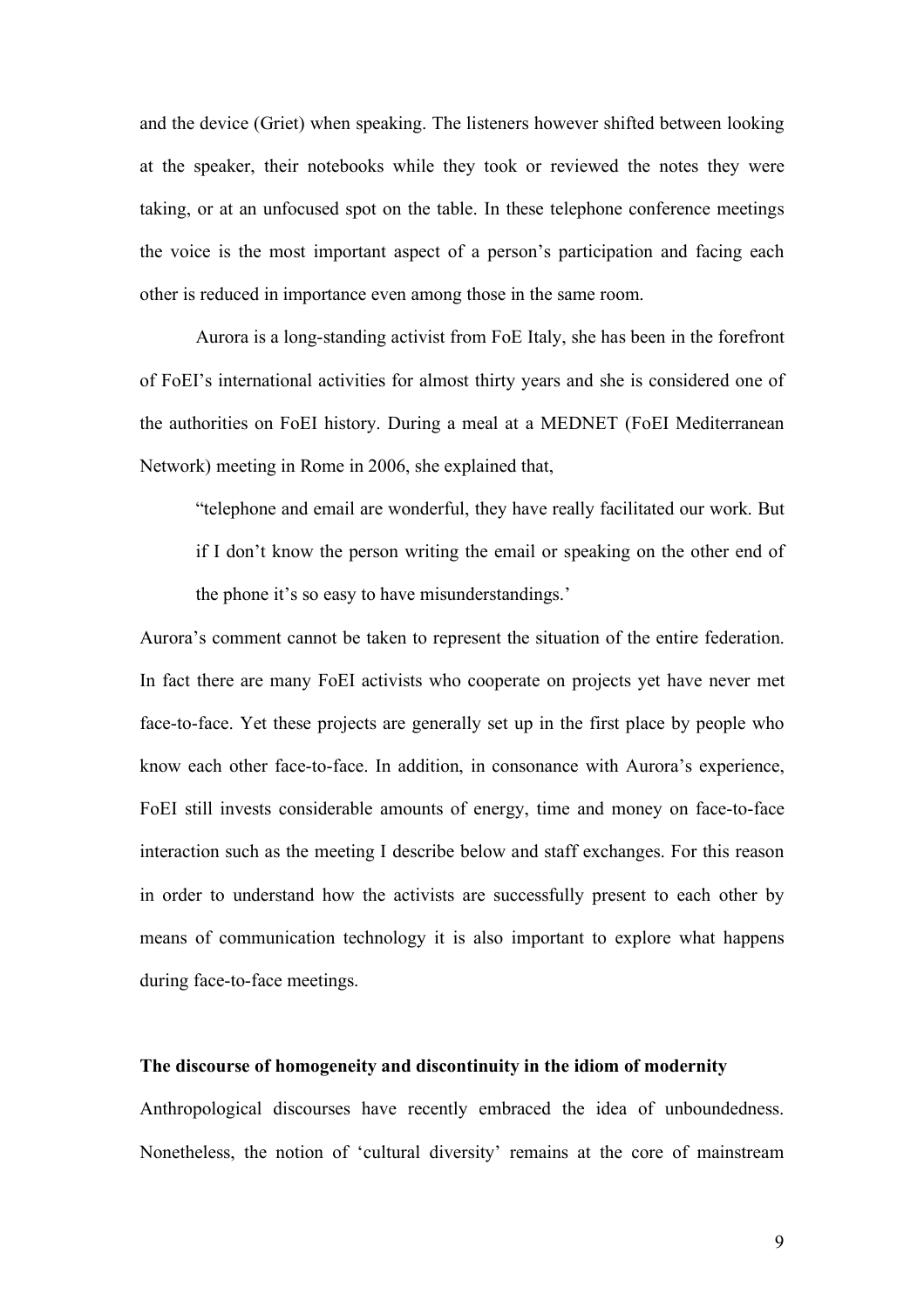and the device (Griet) when speaking. The listeners however shifted between looking at the speaker, their notebooks while they took or reviewed the notes they were taking, or at an unfocused spot on the table. In these telephone conference meetings the voice is the most important aspect of a person's participation and facing each other is reduced in importance even among those in the same room.

Aurora is a long-standing activist from FoE Italy, she has been in the forefront of FoEI's international activities for almost thirty years and she is considered one of the authorities on FoEI history. During a meal at a MEDNET (FoEI Mediterranean Network) meeting in Rome in 2006, she explained that,

"telephone and email are wonderful, they have really facilitated our work. But if I don't know the person writing the email or speaking on the other end of the phone it's so easy to have misunderstandings.'

Aurora's comment cannot be taken to represent the situation of the entire federation. In fact there are many FoEI activists who cooperate on projects yet have never met face-to-face. Yet these projects are generally set up in the first place by people who know each other face-to-face. In addition, in consonance with Aurora's experience, FoEI still invests considerable amounts of energy, time and money on face-to-face interaction such as the meeting I describe below and staff exchanges. For this reason in order to understand how the activists are successfully present to each other by means of communication technology it is also important to explore what happens during face-to-face meetings.

## **The discourse of homogeneity and discontinuity in the idiom of modernity**

Anthropological discourses have recently embraced the idea of unboundedness. Nonetheless, the notion of 'cultural diversity' remains at the core of mainstream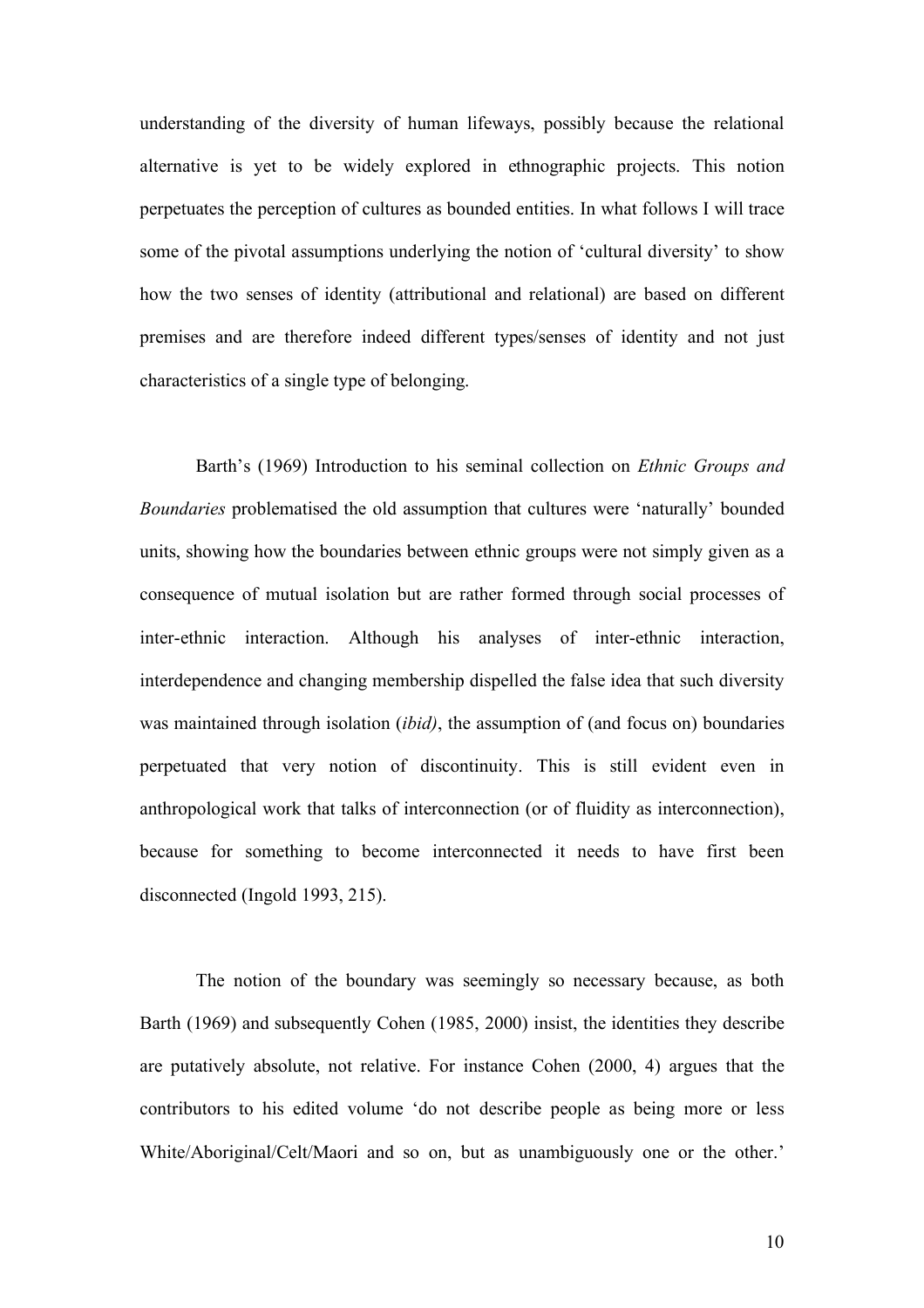understanding of the diversity of human lifeways, possibly because the relational alternative is yet to be widely explored in ethnographic projects. This notion perpetuates the perception of cultures as bounded entities. In what follows I will trace some of the pivotal assumptions underlying the notion of 'cultural diversity' to show how the two senses of identity (attributional and relational) are based on different premises and are therefore indeed different types/senses of identity and not just characteristics of a single type of belonging.

Barth's (1969) Introduction to his seminal collection on *Ethnic Groups and Boundaries* problematised the old assumption that cultures were 'naturally' bounded units, showing how the boundaries between ethnic groups were not simply given as a consequence of mutual isolation but are rather formed through social processes of inter-ethnic interaction. Although his analyses of inter-ethnic interaction, interdependence and changing membership dispelled the false idea that such diversity was maintained through isolation (*ibid)*, the assumption of (and focus on) boundaries perpetuated that very notion of discontinuity. This is still evident even in anthropological work that talks of interconnection (or of fluidity as interconnection), because for something to become interconnected it needs to have first been disconnected (Ingold 1993, 215).

The notion of the boundary was seemingly so necessary because, as both Barth (1969) and subsequently Cohen (1985, 2000) insist, the identities they describe are putatively absolute, not relative. For instance Cohen (2000, 4) argues that the contributors to his edited volume 'do not describe people as being more or less White/Aboriginal/Celt/Maori and so on, but as unambiguously one or the other.'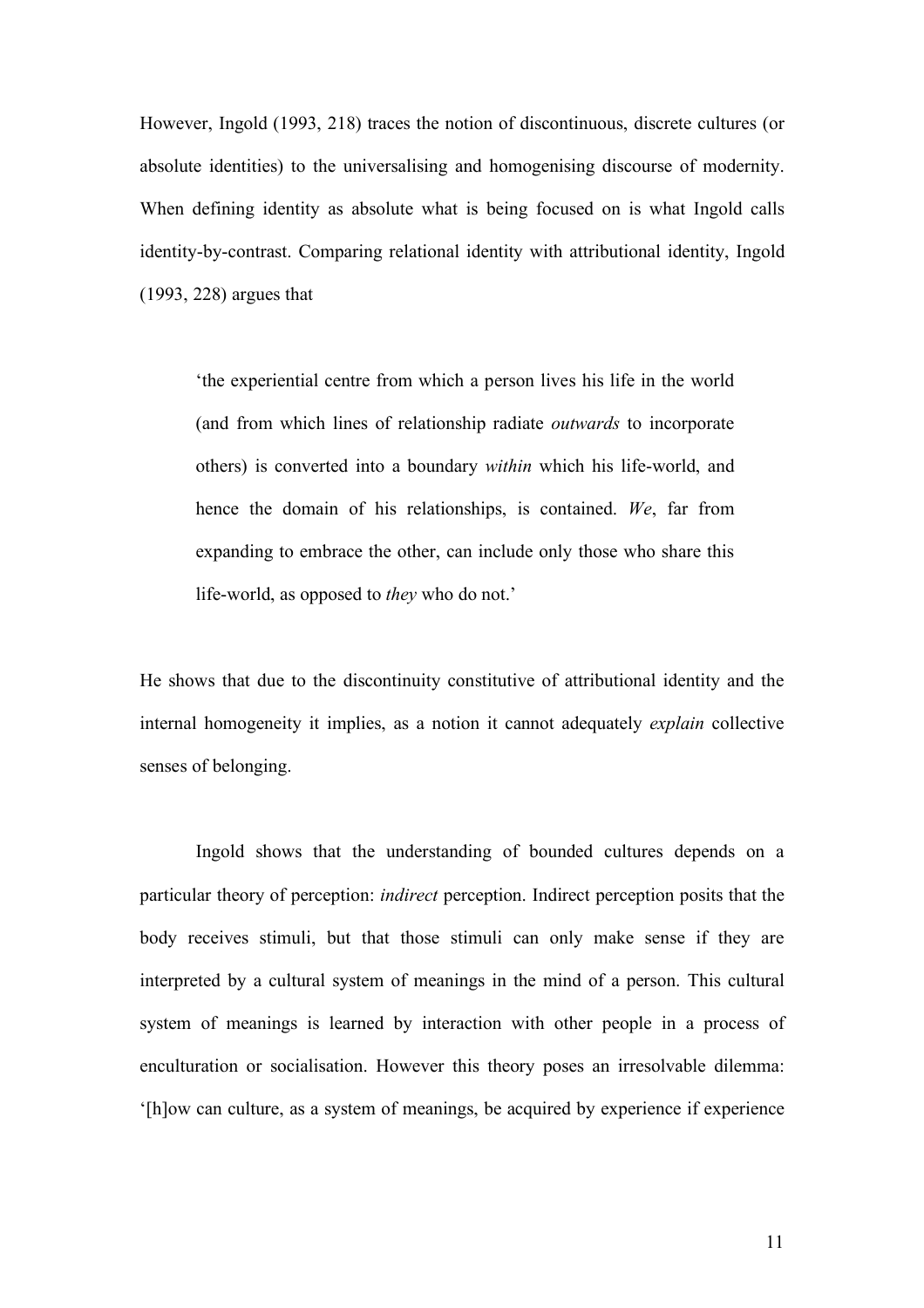However, Ingold (1993, 218) traces the notion of discontinuous, discrete cultures (or absolute identities) to the universalising and homogenising discourse of modernity. When defining identity as absolute what is being focused on is what Ingold calls identity-by-contrast. Comparing relational identity with attributional identity, Ingold (1993, 228) argues that

'the experiential centre from which a person lives his life in the world (and from which lines of relationship radiate *outwards* to incorporate others) is converted into a boundary *within* which his life-world, and hence the domain of his relationships, is contained. *We*, far from expanding to embrace the other, can include only those who share this life-world, as opposed to *they* who do not.'

He shows that due to the discontinuity constitutive of attributional identity and the internal homogeneity it implies, as a notion it cannot adequately *explain* collective senses of belonging.

Ingold shows that the understanding of bounded cultures depends on a particular theory of perception: *indirect* perception. Indirect perception posits that the body receives stimuli, but that those stimuli can only make sense if they are interpreted by a cultural system of meanings in the mind of a person. This cultural system of meanings is learned by interaction with other people in a process of enculturation or socialisation. However this theory poses an irresolvable dilemma: '[h]ow can culture, as a system of meanings, be acquired by experience if experience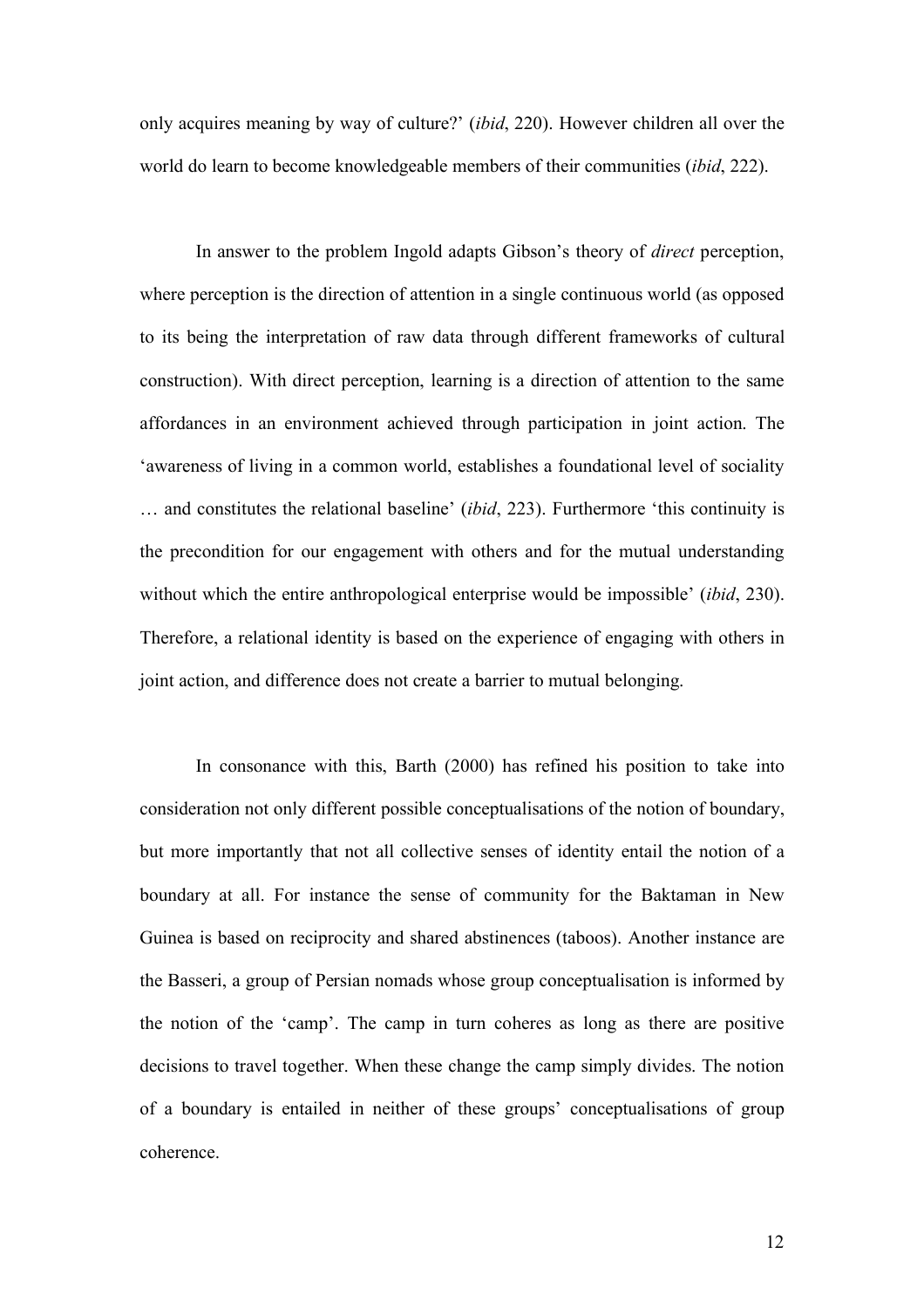only acquires meaning by way of culture?' (*ibid*, 220). However children all over the world do learn to become knowledgeable members of their communities (*ibid*, 222).

In answer to the problem Ingold adapts Gibson's theory of *direct* perception, where perception is the direction of attention in a single continuous world (as opposed to its being the interpretation of raw data through different frameworks of cultural construction). With direct perception, learning is a direction of attention to the same affordances in an environment achieved through participation in joint action. The 'awareness of living in a common world, establishes a foundational level of sociality … and constitutes the relational baseline' (*ibid*, 223). Furthermore 'this continuity is the precondition for our engagement with others and for the mutual understanding without which the entire anthropological enterprise would be impossible' (*ibid*, 230). Therefore, a relational identity is based on the experience of engaging with others in joint action, and difference does not create a barrier to mutual belonging.

In consonance with this, Barth (2000) has refined his position to take into consideration not only different possible conceptualisations of the notion of boundary, but more importantly that not all collective senses of identity entail the notion of a boundary at all. For instance the sense of community for the Baktaman in New Guinea is based on reciprocity and shared abstinences (taboos). Another instance are the Basseri, a group of Persian nomads whose group conceptualisation is informed by the notion of the 'camp'. The camp in turn coheres as long as there are positive decisions to travel together. When these change the camp simply divides. The notion of a boundary is entailed in neither of these groups' conceptualisations of group coherence.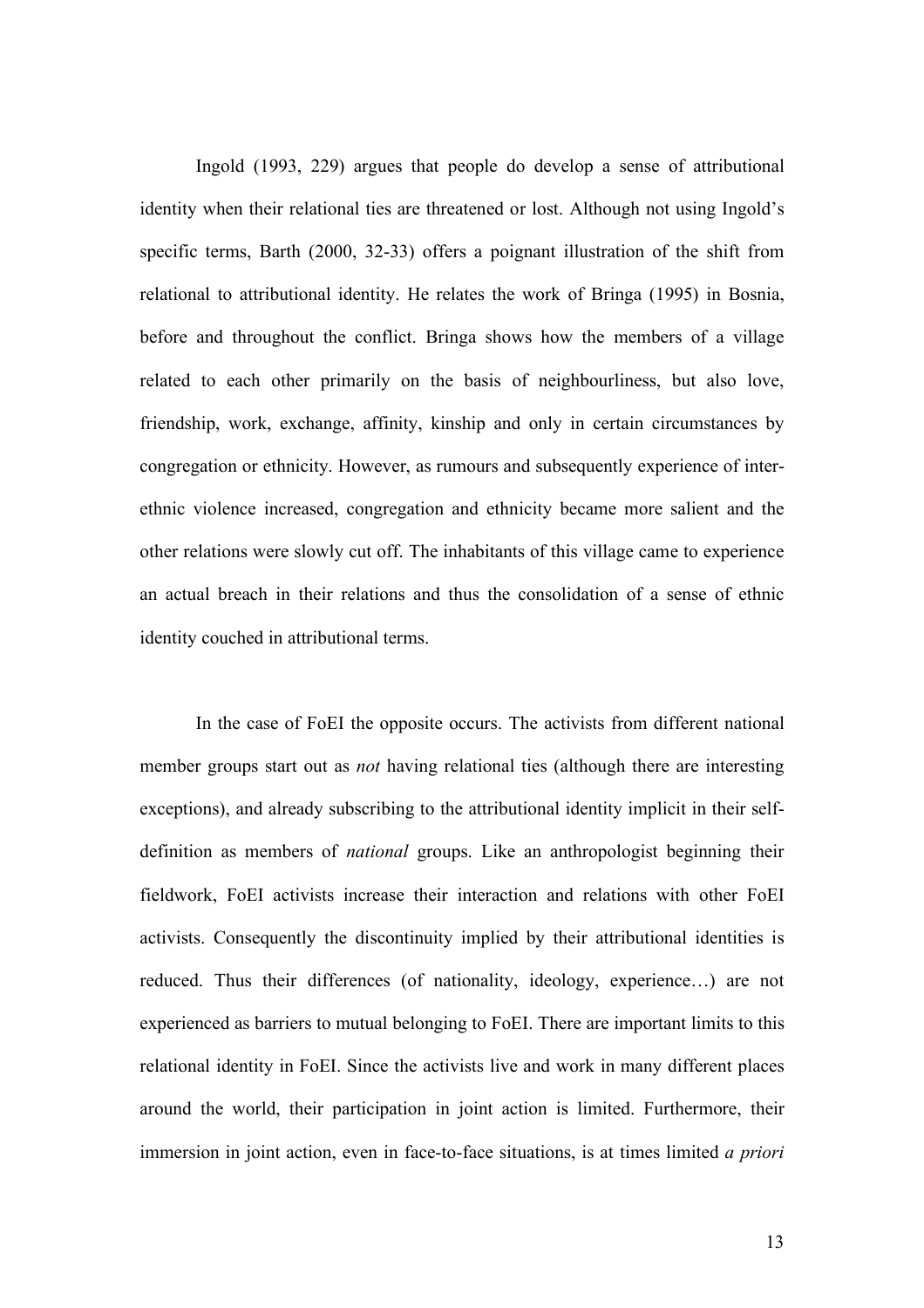Ingold (1993, 229) argues that people do develop a sense of attributional identity when their relational ties are threatened or lost. Although not using Ingold's specific terms, Barth (2000, 32-33) offers a poignant illustration of the shift from relational to attributional identity. He relates the work of Bringa (1995) in Bosnia, before and throughout the conflict. Bringa shows how the members of a village related to each other primarily on the basis of neighbourliness, but also love, friendship, work, exchange, affinity, kinship and only in certain circumstances by congregation or ethnicity. However, as rumours and subsequently experience of interethnic violence increased, congregation and ethnicity became more salient and the other relations were slowly cut off. The inhabitants of this village came to experience an actual breach in their relations and thus the consolidation of a sense of ethnic identity couched in attributional terms.

In the case of FoEI the opposite occurs. The activists from different national member groups start out as *not* having relational ties (although there are interesting exceptions), and already subscribing to the attributional identity implicit in their selfdefinition as members of *national* groups. Like an anthropologist beginning their fieldwork, FoEI activists increase their interaction and relations with other FoEI activists. Consequently the discontinuity implied by their attributional identities is reduced. Thus their differences (of nationality, ideology, experience…) are not experienced as barriers to mutual belonging to FoEI. There are important limits to this relational identity in FoEI. Since the activists live and work in many different places around the world, their participation in joint action is limited. Furthermore, their immersion in joint action, even in face-to-face situations, is at times limited *a priori*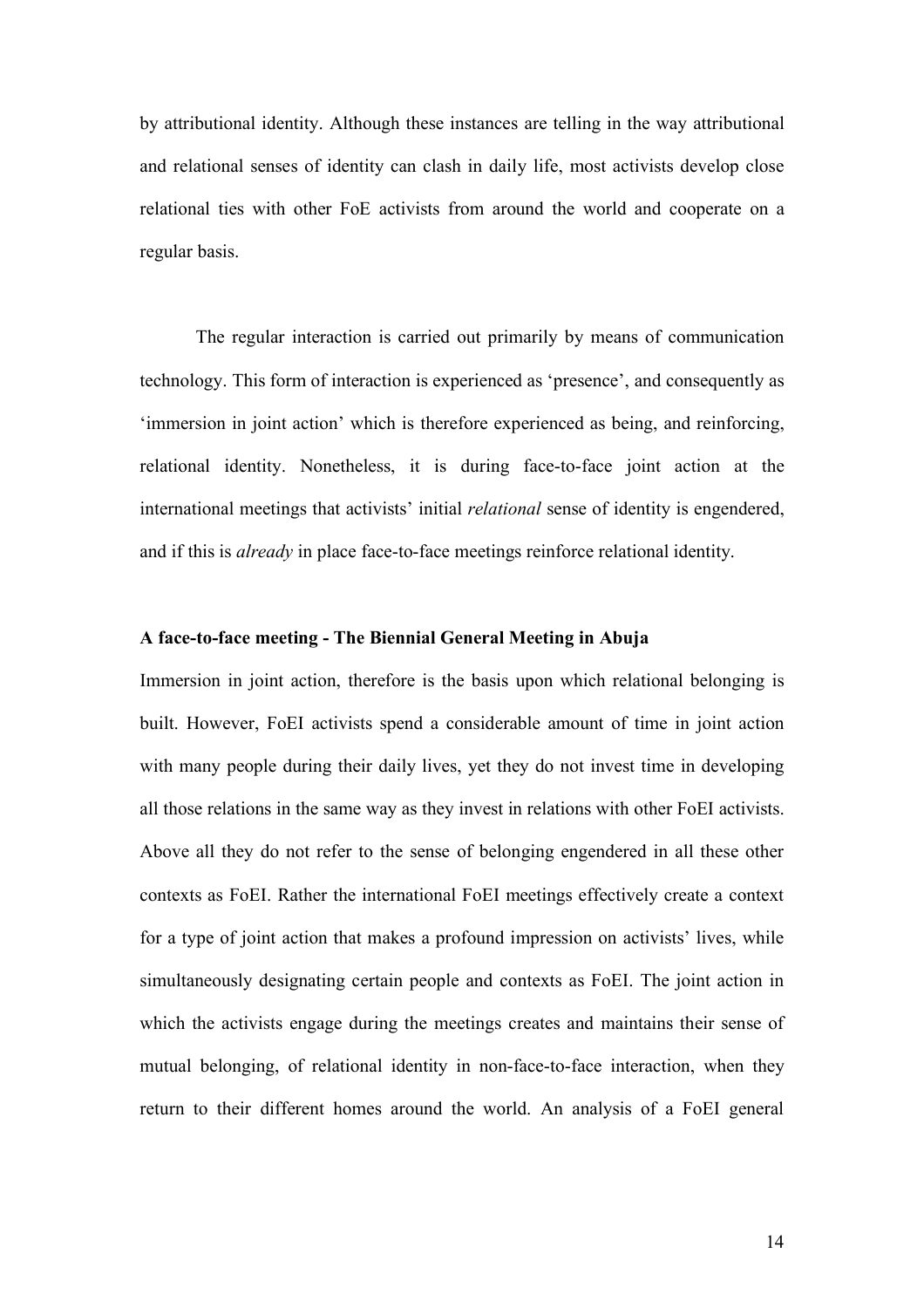by attributional identity. Although these instances are telling in the way attributional and relational senses of identity can clash in daily life, most activists develop close relational ties with other FoE activists from around the world and cooperate on a regular basis.

The regular interaction is carried out primarily by means of communication technology. This form of interaction is experienced as 'presence', and consequently as 'immersion in joint action' which is therefore experienced as being, and reinforcing, relational identity. Nonetheless, it is during face-to-face joint action at the international meetings that activists' initial *relational* sense of identity is engendered, and if this is *already* in place face-to-face meetings reinforce relational identity.

### **A face-to-face meeting - The Biennial General Meeting in Abuja**

Immersion in joint action, therefore is the basis upon which relational belonging is built. However, FoEI activists spend a considerable amount of time in joint action with many people during their daily lives, yet they do not invest time in developing all those relations in the same way as they invest in relations with other FoEI activists. Above all they do not refer to the sense of belonging engendered in all these other contexts as FoEI. Rather the international FoEI meetings effectively create a context for a type of joint action that makes a profound impression on activists' lives, while simultaneously designating certain people and contexts as FoEI. The joint action in which the activists engage during the meetings creates and maintains their sense of mutual belonging, of relational identity in non-face-to-face interaction, when they return to their different homes around the world. An analysis of a FoEI general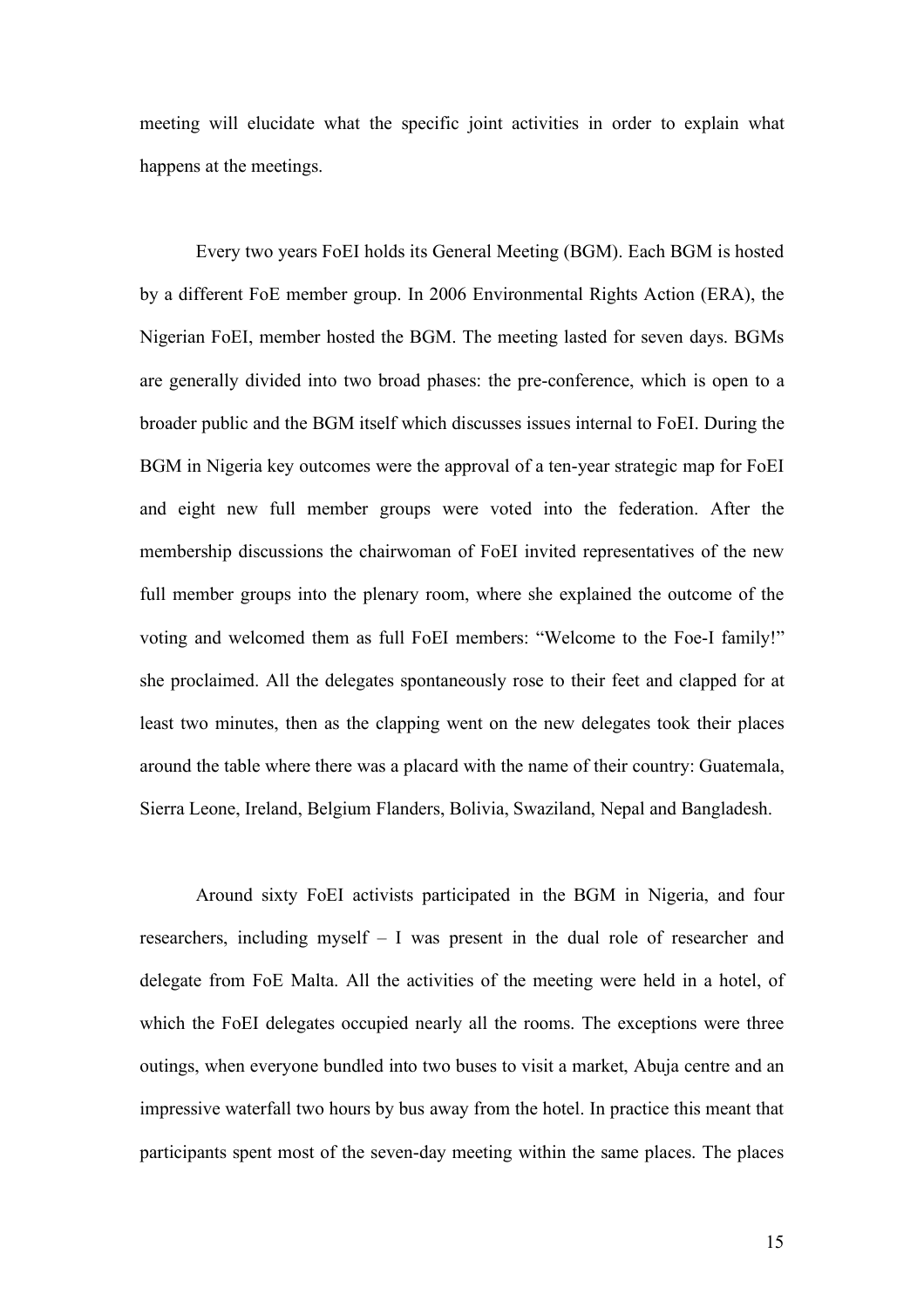meeting will elucidate what the specific joint activities in order to explain what happens at the meetings.

Every two years FoEI holds its General Meeting (BGM). Each BGM is hosted by a different FoE member group. In 2006 Environmental Rights Action (ERA), the Nigerian FoEI, member hosted the BGM. The meeting lasted for seven days. BGMs are generally divided into two broad phases: the pre-conference, which is open to a broader public and the BGM itself which discusses issues internal to FoEI. During the BGM in Nigeria key outcomes were the approval of a ten-year strategic map for FoEI and eight new full member groups were voted into the federation. After the membership discussions the chairwoman of FoEI invited representatives of the new full member groups into the plenary room, where she explained the outcome of the voting and welcomed them as full FoEI members: "Welcome to the Foe-I family!" she proclaimed. All the delegates spontaneously rose to their feet and clapped for at least two minutes, then as the clapping went on the new delegates took their places around the table where there was a placard with the name of their country: Guatemala, Sierra Leone, Ireland, Belgium Flanders, Bolivia, Swaziland, Nepal and Bangladesh.

Around sixty FoEI activists participated in the BGM in Nigeria, and four researchers, including myself – I was present in the dual role of researcher and delegate from FoE Malta. All the activities of the meeting were held in a hotel, of which the FoEI delegates occupied nearly all the rooms. The exceptions were three outings, when everyone bundled into two buses to visit a market, Abuja centre and an impressive waterfall two hours by bus away from the hotel. In practice this meant that participants spent most of the seven-day meeting within the same places. The places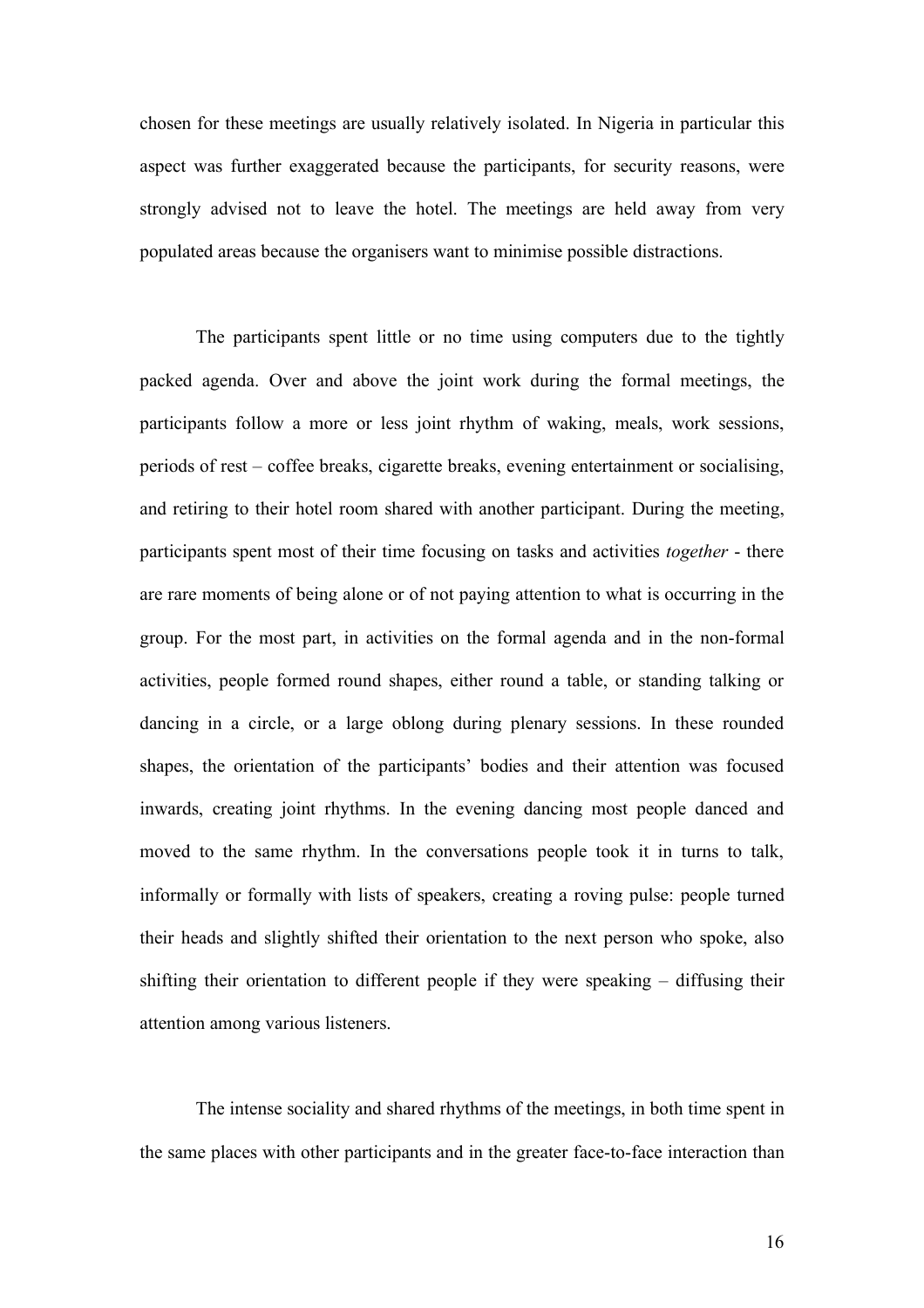chosen for these meetings are usually relatively isolated. In Nigeria in particular this aspect was further exaggerated because the participants, for security reasons, were strongly advised not to leave the hotel. The meetings are held away from very populated areas because the organisers want to minimise possible distractions.

The participants spent little or no time using computers due to the tightly packed agenda. Over and above the joint work during the formal meetings, the participants follow a more or less joint rhythm of waking, meals, work sessions, periods of rest – coffee breaks, cigarette breaks, evening entertainment or socialising, and retiring to their hotel room shared with another participant. During the meeting, participants spent most of their time focusing on tasks and activities *together* - there are rare moments of being alone or of not paying attention to what is occurring in the group. For the most part, in activities on the formal agenda and in the non-formal activities, people formed round shapes, either round a table, or standing talking or dancing in a circle, or a large oblong during plenary sessions. In these rounded shapes, the orientation of the participants' bodies and their attention was focused inwards, creating joint rhythms. In the evening dancing most people danced and moved to the same rhythm. In the conversations people took it in turns to talk, informally or formally with lists of speakers, creating a roving pulse: people turned their heads and slightly shifted their orientation to the next person who spoke, also shifting their orientation to different people if they were speaking – diffusing their attention among various listeners.

The intense sociality and shared rhythms of the meetings, in both time spent in the same places with other participants and in the greater face-to-face interaction than

16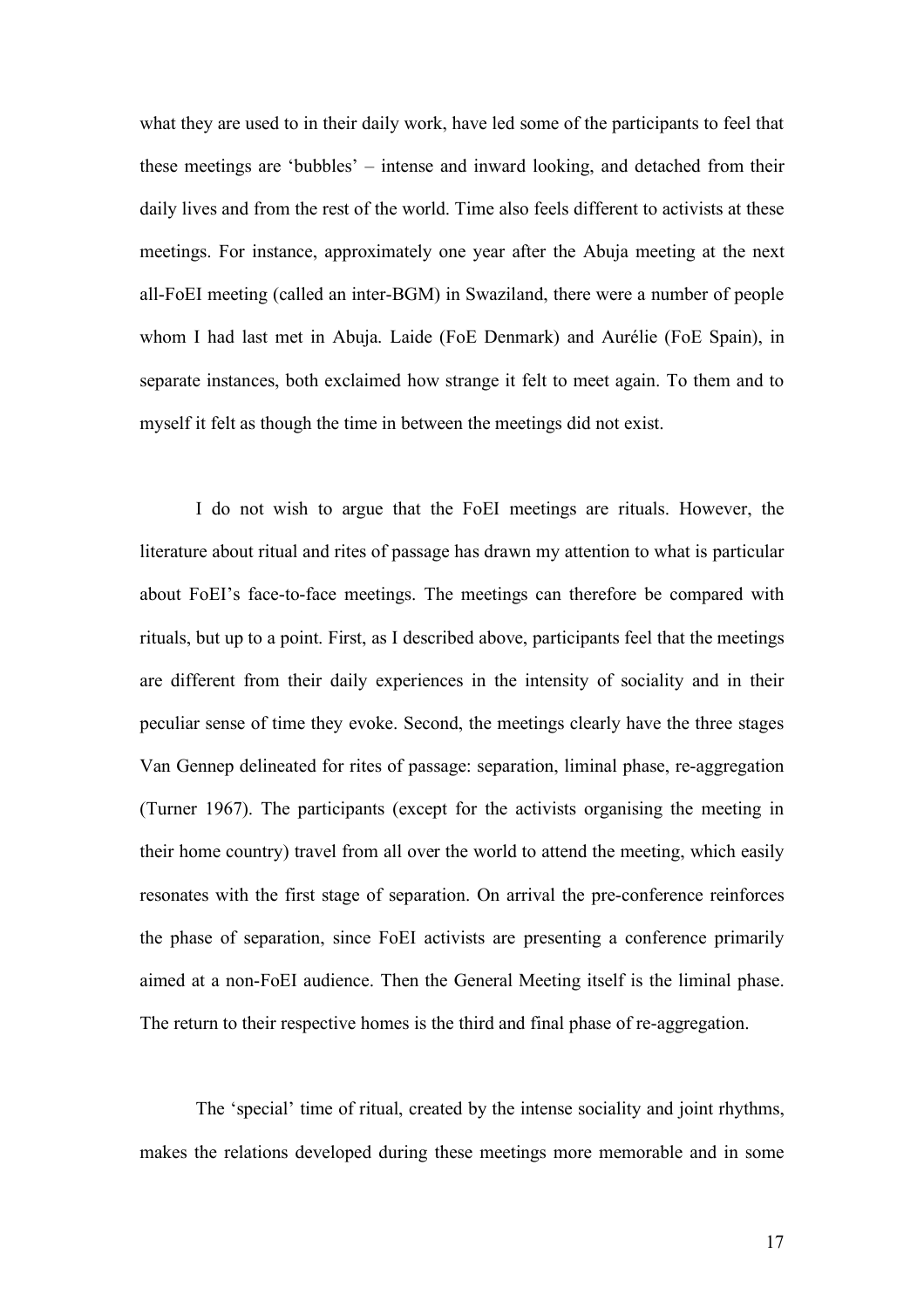what they are used to in their daily work, have led some of the participants to feel that these meetings are 'bubbles' – intense and inward looking, and detached from their daily lives and from the rest of the world. Time also feels different to activists at these meetings. For instance, approximately one year after the Abuja meeting at the next all-FoEI meeting (called an inter-BGM) in Swaziland, there were a number of people whom I had last met in Abuja. Laide (FoE Denmark) and Aurélie (FoE Spain), in separate instances, both exclaimed how strange it felt to meet again. To them and to myself it felt as though the time in between the meetings did not exist.

I do not wish to argue that the FoEI meetings are rituals. However, the literature about ritual and rites of passage has drawn my attention to what is particular about FoEI's face-to-face meetings. The meetings can therefore be compared with rituals, but up to a point. First, as I described above, participants feel that the meetings are different from their daily experiences in the intensity of sociality and in their peculiar sense of time they evoke. Second, the meetings clearly have the three stages Van Gennep delineated for rites of passage: separation, liminal phase, re-aggregation (Turner 1967). The participants (except for the activists organising the meeting in their home country) travel from all over the world to attend the meeting, which easily resonates with the first stage of separation. On arrival the pre-conference reinforces the phase of separation, since FoEI activists are presenting a conference primarily aimed at a non-FoEI audience. Then the General Meeting itself is the liminal phase. The return to their respective homes is the third and final phase of re-aggregation.

The 'special' time of ritual, created by the intense sociality and joint rhythms, makes the relations developed during these meetings more memorable and in some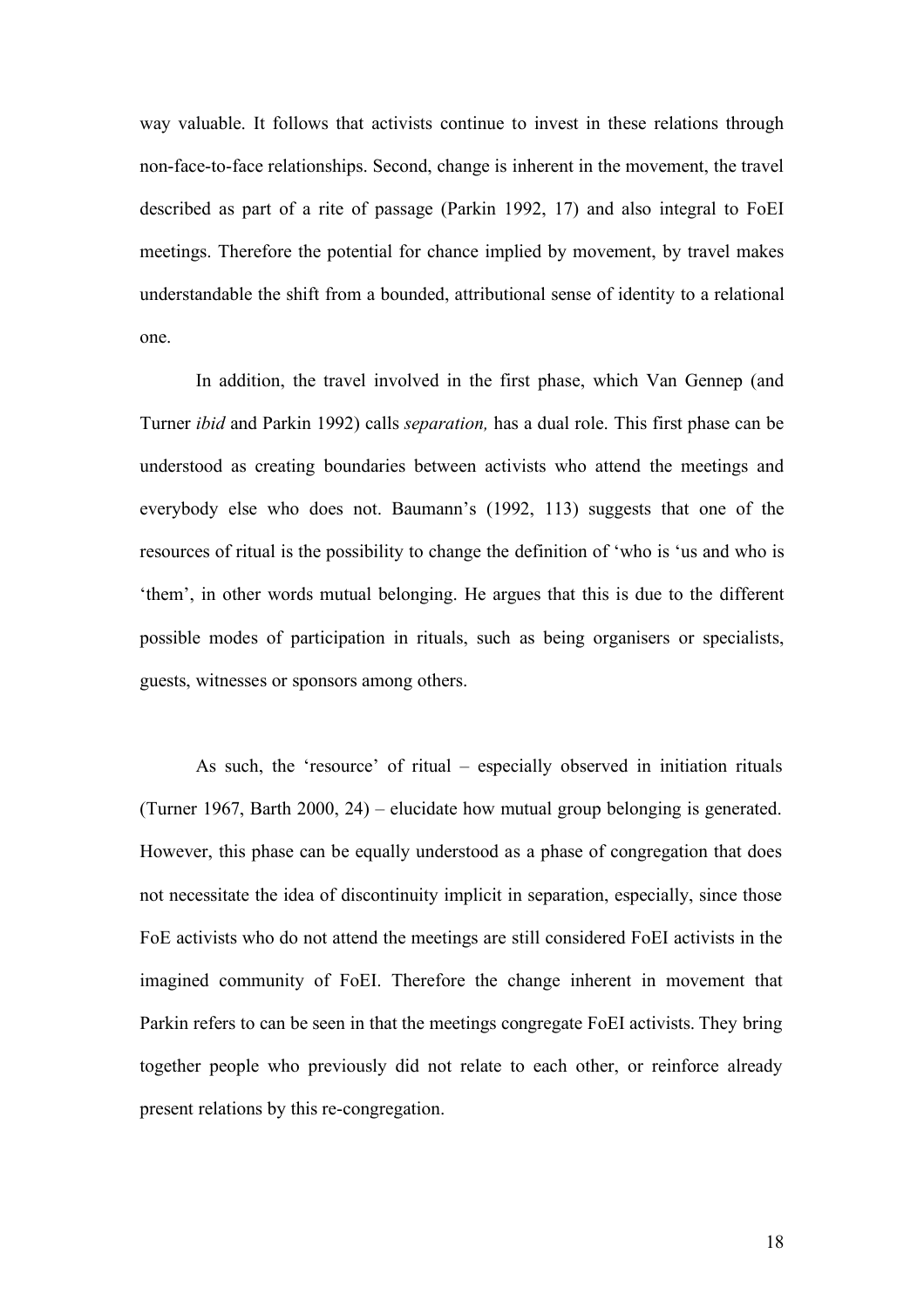way valuable. It follows that activists continue to invest in these relations through non-face-to-face relationships. Second, change is inherent in the movement, the travel described as part of a rite of passage (Parkin 1992, 17) and also integral to FoEI meetings. Therefore the potential for chance implied by movement, by travel makes understandable the shift from a bounded, attributional sense of identity to a relational one.

In addition, the travel involved in the first phase, which Van Gennep (and Turner *ibid* and Parkin 1992) calls *separation,* has a dual role. This first phase can be understood as creating boundaries between activists who attend the meetings and everybody else who does not. Baumann's (1992, 113) suggests that one of the resources of ritual is the possibility to change the definition of 'who is 'us and who is 'them', in other words mutual belonging. He argues that this is due to the different possible modes of participation in rituals, such as being organisers or specialists, guests, witnesses or sponsors among others.

As such, the 'resource' of ritual – especially observed in initiation rituals (Turner 1967, Barth 2000, 24) – elucidate how mutual group belonging is generated. However, this phase can be equally understood as a phase of congregation that does not necessitate the idea of discontinuity implicit in separation, especially, since those FoE activists who do not attend the meetings are still considered FoEI activists in the imagined community of FoEI. Therefore the change inherent in movement that Parkin refers to can be seen in that the meetings congregate FoEI activists. They bring together people who previously did not relate to each other, or reinforce already present relations by this re-congregation.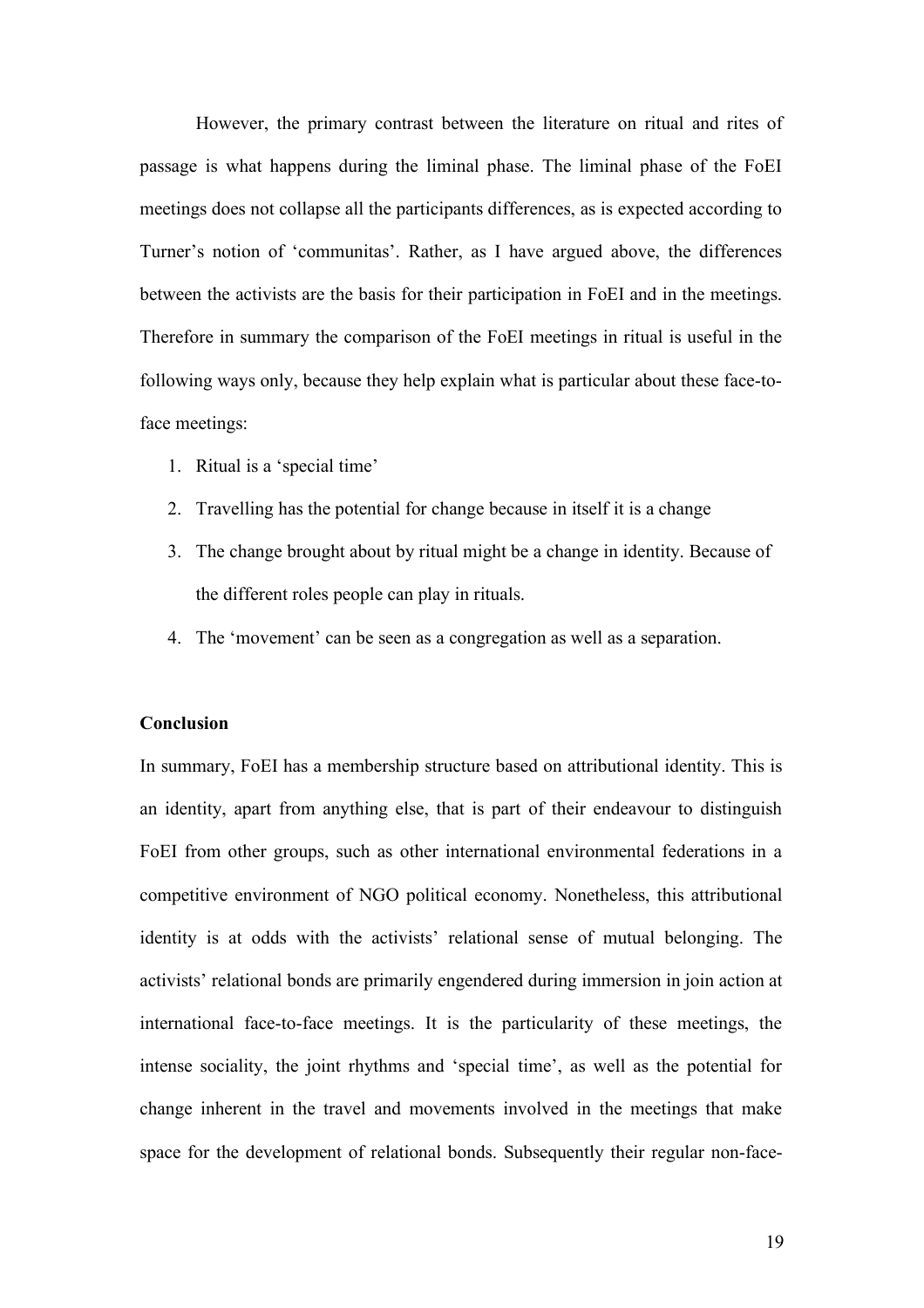However, the primary contrast between the literature on ritual and rites of passage is what happens during the liminal phase. The liminal phase of the FoEI meetings does not collapse all the participants differences, as is expected according to Turner's notion of 'communitas'. Rather, as I have argued above, the differences between the activists are the basis for their participation in FoEI and in the meetings. Therefore in summary the comparison of the FoEI meetings in ritual is useful in the following ways only, because they help explain what is particular about these face-toface meetings:

- 1. Ritual is a 'special time'
- 2. Travelling has the potential for change because in itself it is a change
- 3. The change brought about by ritual might be a change in identity. Because of the different roles people can play in rituals.
- 4. The 'movement' can be seen as a congregation as well as a separation.

#### **Conclusion**

In summary, FoEI has a membership structure based on attributional identity. This is an identity, apart from anything else, that is part of their endeavour to distinguish FoEI from other groups, such as other international environmental federations in a competitive environment of NGO political economy. Nonetheless, this attributional identity is at odds with the activists' relational sense of mutual belonging. The activists' relational bonds are primarily engendered during immersion in join action at international face-to-face meetings. It is the particularity of these meetings, the intense sociality, the joint rhythms and 'special time', as well as the potential for change inherent in the travel and movements involved in the meetings that make space for the development of relational bonds. Subsequently their regular non-face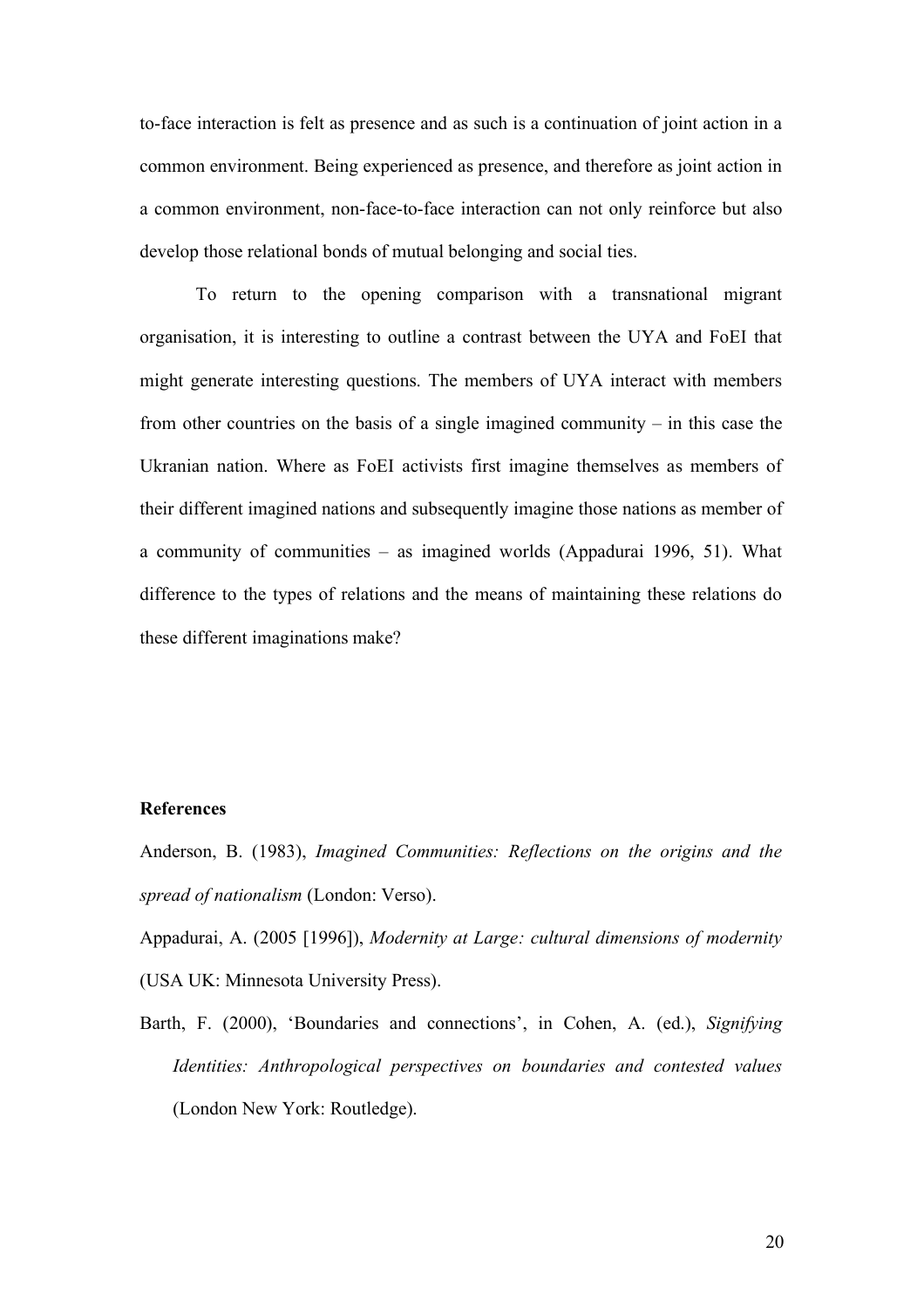to-face interaction is felt as presence and as such is a continuation of joint action in a common environment. Being experienced as presence, and therefore as joint action in a common environment, non-face-to-face interaction can not only reinforce but also develop those relational bonds of mutual belonging and social ties.

To return to the opening comparison with a transnational migrant organisation, it is interesting to outline a contrast between the UYA and FoEI that might generate interesting questions. The members of UYA interact with members from other countries on the basis of a single imagined community – in this case the Ukranian nation. Where as FoEI activists first imagine themselves as members of their different imagined nations and subsequently imagine those nations as member of a community of communities – as imagined worlds (Appadurai 1996, 51). What difference to the types of relations and the means of maintaining these relations do these different imaginations make?

# **References**

Anderson, B. (1983), *Imagined Communities: Reflections on the origins and the spread of nationalism* (London: Verso).

Appadurai, A. (2005 [1996]), *Modernity at Large: cultural dimensions of modernity* (USA UK: Minnesota University Press).

Barth, F. (2000), 'Boundaries and connections', in Cohen, A. (ed.), *Signifying Identities: Anthropological perspectives on boundaries and contested values* (London New York: Routledge).